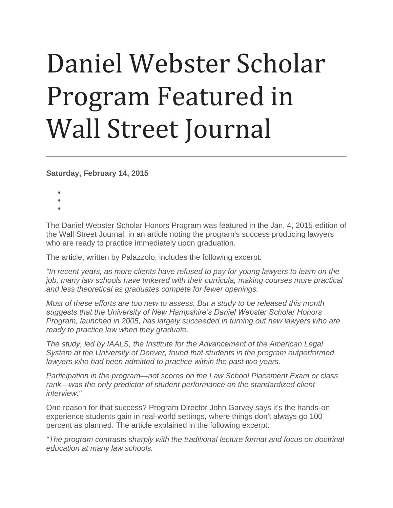## Daniel Webster Scholar Program Featured in Wall Street Journal

**Saturday, February 14, 2015**

- •
- •
- •

The Daniel Webster Scholar Honors Program was featured in the Jan. 4, 2015 edition of the Wall Street Journal, in an article noting the program's success producing lawyers who are ready to practice immediately upon graduation.

The article, written by Palazzolo, includes the following excerpt:

*"In recent years, as more clients have refused to pay for young lawyers to learn on the job, many law schools have tinkered with their curricula, making courses more practical and less theoretical as graduates compete for fewer openings.*

*Most of these efforts are too new to assess. But a study to be released this month suggests that the University of New Hampshire's Daniel Webster Scholar Honors Program, launched in 2005, has largely succeeded in turning out new lawyers who are ready to practice law when they graduate.*

*The study, led by IAALS, the Institute for the Advancement of the American Legal System at the University of Denver, found that students in the program outperformed lawyers who had been admitted to practice within the past two years.*

*Participation in the program—not scores on the Law School Placement Exam or class rank—was the only predictor of student performance on the standardized client interview."*

One reason for that success? Program Director John Garvey says it's the hands-on experience students gain in real-world settings, where things don't always go 100 percent as planned. The article explained in the following excerpt:

*"The program contrasts sharply with the traditional lecture format and focus on doctrinal education at many law schools.*